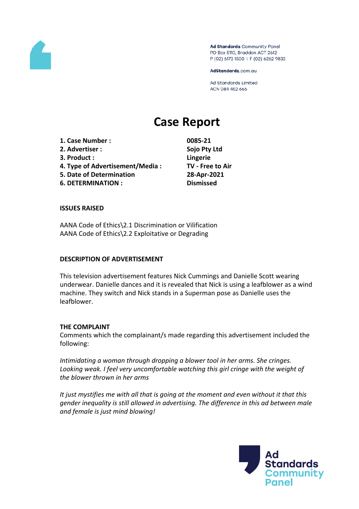

Ad Standards Community Panel PO Box 5110, Braddon ACT 2612 P (02) 6173 1500 | F (02) 6262 9833

AdStandards.com.au

**Ad Standards Limited** ACN 084 452 666

# **Case Report**

**1. Case Number : 0085-21 2. Advertiser : Sojo Pty Ltd 3. Product : Lingerie 4. Type of Advertisement/Media : TV - Free to Air 5. Date of Determination 28-Apr-2021 6. DETERMINATION : Dismissed**

### **ISSUES RAISED**

AANA Code of Ethics\2.1 Discrimination or Vilification AANA Code of Ethics\2.2 Exploitative or Degrading

### **DESCRIPTION OF ADVERTISEMENT**

This television advertisement features Nick Cummings and Danielle Scott wearing underwear. Danielle dances and it is revealed that Nick is using a leafblower as a wind machine. They switch and Nick stands in a Superman pose as Danielle uses the leafblower.

### **THE COMPLAINT**

Comments which the complainant/s made regarding this advertisement included the following:

*Intimidating a woman through dropping a blower tool in her arms. She cringes. Looking weak. I feel very uncomfortable watching this girl cringe with the weight of the blower thrown in her arms*

*It just mystifies me with all that is going at the moment and even without it that this gender inequality is still allowed in advertising. The difference in this ad between male and female is just mind blowing!*

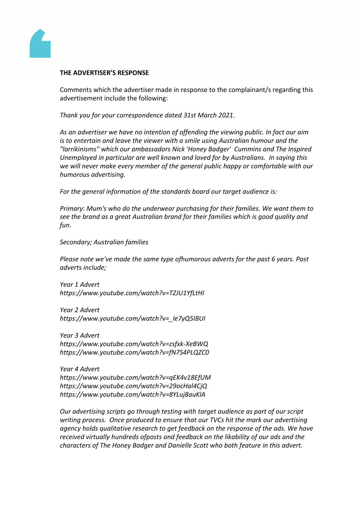

### **THE ADVERTISER'S RESPONSE**

Comments which the advertiser made in response to the complainant/s regarding this advertisement include the following:

*Thank you for your correspondence dated 31st March 2021.*

*As an advertiser we have no intention of offending the viewing public. In fact our aim is to entertain and leave the viewer with a smile using Australian humour and the "larrikinisms" which our ambassadors Nick 'Honey Badger' Cummins and The Inspired Unemployed in particular are well known and loved for by Australians. In saying this we will never make every member of the general public happy or comfortable with our humorous advertising.*

*For the general information of the standards board our target audience is:*

*Primary: Mum's who do the underwear purchasing for their families. We want them to see the brand as a great Australian brand for their families which is good quality and fun.*

*Secondary; Australian families*

*Please note we've made the same type ofhumorous adverts for the past 6 years. Past adverts include;*

*Year 1 Advert https://www.youtube.com/watch?v=TZJU1YfLtHI*

*Year 2 Advert https://www.youtube.com/watch?v=\_Ie7yQ5I8UI*

*Year 3 Advert https://www.youtube.com/watch?v=zsfxk-XeBWQ https://www.youtube.com/watch?v=fN7S4PLQZC0*

*Year 4 Advert https://www.youtube.com/watch?v=qEK4v18EfUM https://www.youtube.com/watch?v=29ocHal4CjQ https://www.youtube.com/watch?v=8YLuj8auKlA*

*Our advertising scripts go through testing with target audience as part of our script writing process. Once produced to ensure that our TVCs hit the mark our advertising agency holds qualitative research to get feedback on the response of the ads. We have received virtually hundreds ofposts and feedback on the likability of our ads and the characters of The Honey Badger and Danielle Scott who both feature in this advert.*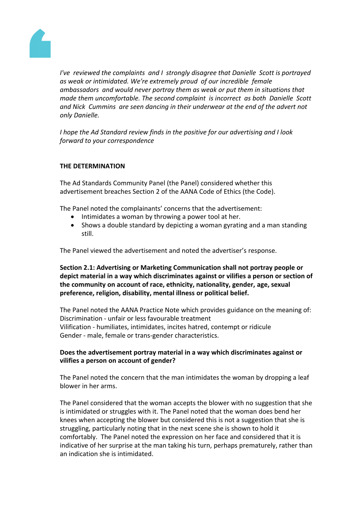

*I've reviewed the complaints and I strongly disagree that Danielle Scott is portrayed as weak or intimidated. We're extremely proud of our incredible female ambassadors and would never portray them as weak or put them in situations that made them uncomfortable. The second complaint is incorrect as both Danielle Scott and Nick Cummins are seen dancing in their underwear at the end of the advert not only Danielle.*

*I hope the Ad Standard review finds in the positive for our advertising and I look forward to your correspondence*

## **THE DETERMINATION**

The Ad Standards Community Panel (the Panel) considered whether this advertisement breaches Section 2 of the AANA Code of Ethics (the Code).

The Panel noted the complainants' concerns that the advertisement:

- Intimidates a woman by throwing a power tool at her.
- Shows a double standard by depicting a woman gyrating and a man standing still.

The Panel viewed the advertisement and noted the advertiser's response.

**Section 2.1: Advertising or Marketing Communication shall not portray people or depict material in a way which discriminates against or vilifies a person or section of the community on account of race, ethnicity, nationality, gender, age, sexual preference, religion, disability, mental illness or political belief.**

The Panel noted the AANA Practice Note which provides guidance on the meaning of: Discrimination - unfair or less favourable treatment Vilification - humiliates, intimidates, incites hatred, contempt or ridicule Gender - male, female or trans-gender characteristics.

## **Does the advertisement portray material in a way which discriminates against or vilifies a person on account of gender?**

The Panel noted the concern that the man intimidates the woman by dropping a leaf blower in her arms.

The Panel considered that the woman accepts the blower with no suggestion that she is intimidated or struggles with it. The Panel noted that the woman does bend her knees when accepting the blower but considered this is not a suggestion that she is struggling, particularly noting that in the next scene she is shown to hold it comfortably. The Panel noted the expression on her face and considered that it is indicative of her surprise at the man taking his turn, perhaps prematurely, rather than an indication she is intimidated.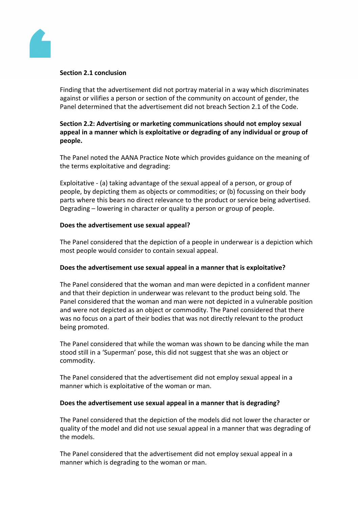

### **Section 2.1 conclusion**

Finding that the advertisement did not portray material in a way which discriminates against or vilifies a person or section of the community on account of gender, the Panel determined that the advertisement did not breach Section 2.1 of the Code.

## **Section 2.2: Advertising or marketing communications should not employ sexual appeal in a manner which is exploitative or degrading of any individual or group of people.**

The Panel noted the AANA Practice Note which provides guidance on the meaning of the terms exploitative and degrading:

Exploitative - (a) taking advantage of the sexual appeal of a person, or group of people, by depicting them as objects or commodities; or (b) focussing on their body parts where this bears no direct relevance to the product or service being advertised. Degrading – lowering in character or quality a person or group of people.

## **Does the advertisement use sexual appeal?**

The Panel considered that the depiction of a people in underwear is a depiction which most people would consider to contain sexual appeal.

## **Does the advertisement use sexual appeal in a manner that is exploitative?**

The Panel considered that the woman and man were depicted in a confident manner and that their depiction in underwear was relevant to the product being sold. The Panel considered that the woman and man were not depicted in a vulnerable position and were not depicted as an object or commodity. The Panel considered that there was no focus on a part of their bodies that was not directly relevant to the product being promoted.

The Panel considered that while the woman was shown to be dancing while the man stood still in a 'Superman' pose, this did not suggest that she was an object or commodity.

The Panel considered that the advertisement did not employ sexual appeal in a manner which is exploitative of the woman or man.

### **Does the advertisement use sexual appeal in a manner that is degrading?**

The Panel considered that the depiction of the models did not lower the character or quality of the model and did not use sexual appeal in a manner that was degrading of the models.

The Panel considered that the advertisement did not employ sexual appeal in a manner which is degrading to the woman or man.